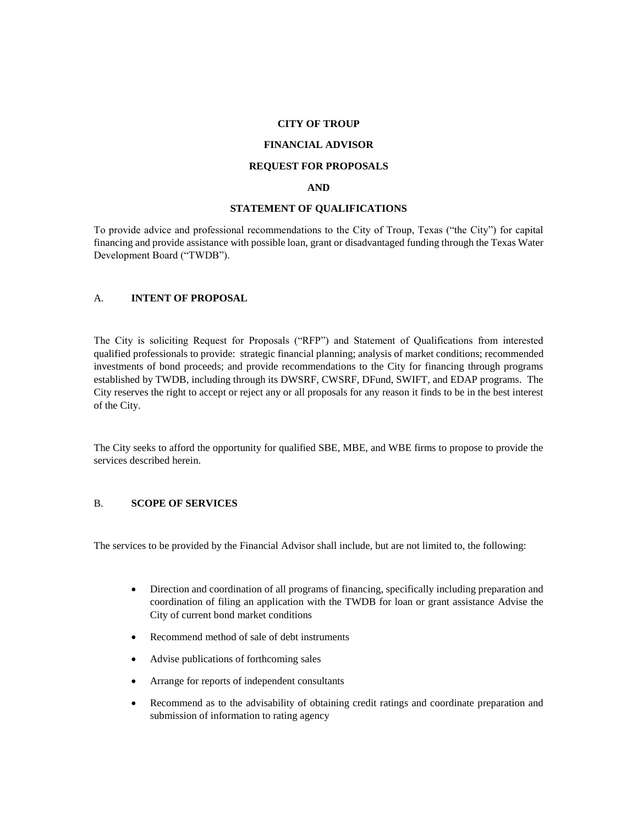#### **CITY OF TROUP**

#### **FINANCIAL ADVISOR**

### **REQUEST FOR PROPOSALS**

#### **AND**

#### **STATEMENT OF QUALIFICATIONS**

To provide advice and professional recommendations to the City of Troup, Texas ("the City") for capital financing and provide assistance with possible loan, grant or disadvantaged funding through the Texas Water Development Board ("TWDB").

### A. **INTENT OF PROPOSAL**

The City is soliciting Request for Proposals ("RFP") and Statement of Qualifications from interested qualified professionals to provide: strategic financial planning; analysis of market conditions; recommended investments of bond proceeds; and provide recommendations to the City for financing through programs established by TWDB, including through its DWSRF, CWSRF, DFund, SWIFT, and EDAP programs. The City reserves the right to accept or reject any or all proposals for any reason it finds to be in the best interest of the City.

The City seeks to afford the opportunity for qualified SBE, MBE, and WBE firms to propose to provide the services described herein.

## B. **SCOPE OF SERVICES**

The services to be provided by the Financial Advisor shall include, but are not limited to, the following:

- Direction and coordination of all programs of financing, specifically including preparation and coordination of filing an application with the TWDB for loan or grant assistance Advise the City of current bond market conditions
- Recommend method of sale of debt instruments
- Advise publications of forthcoming sales
- Arrange for reports of independent consultants
- Recommend as to the advisability of obtaining credit ratings and coordinate preparation and submission of information to rating agency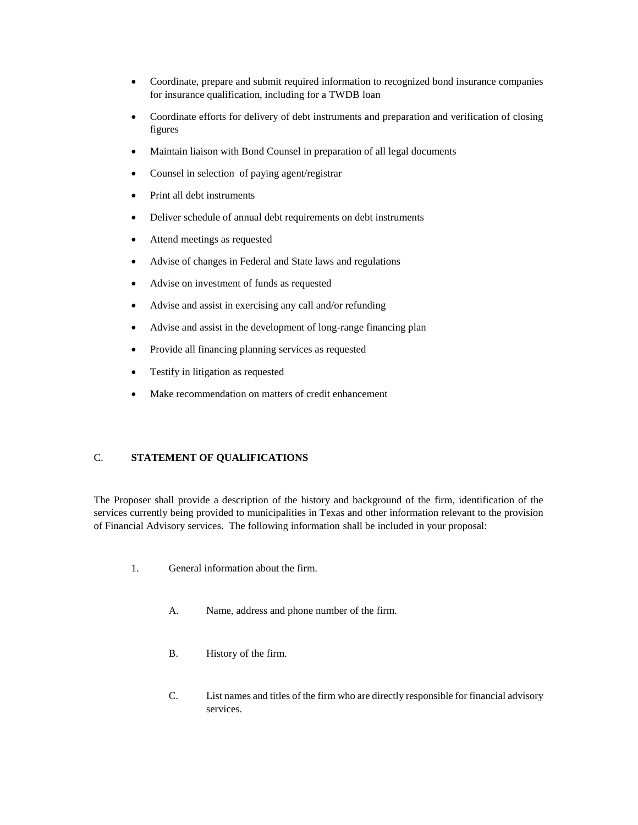- Coordinate, prepare and submit required information to recognized bond insurance companies for insurance qualification, including for a TWDB loan
- Coordinate efforts for delivery of debt instruments and preparation and verification of closing figures
- Maintain liaison with Bond Counsel in preparation of all legal documents
- Counsel in selection of paying agent/registrar
- Print all debt instruments
- Deliver schedule of annual debt requirements on debt instruments
- Attend meetings as requested
- Advise of changes in Federal and State laws and regulations
- Advise on investment of funds as requested
- Advise and assist in exercising any call and/or refunding
- Advise and assist in the development of long-range financing plan
- Provide all financing planning services as requested
- Testify in litigation as requested
- Make recommendation on matters of credit enhancement

# C. **STATEMENT OF QUALIFICATIONS**

The Proposer shall provide a description of the history and background of the firm, identification of the services currently being provided to municipalities in Texas and other information relevant to the provision of Financial Advisory services. The following information shall be included in your proposal:

- 1. General information about the firm.
	- A. Name, address and phone number of the firm.
	- B. History of the firm.
	- C. List names and titles of the firm who are directly responsible for financial advisory services.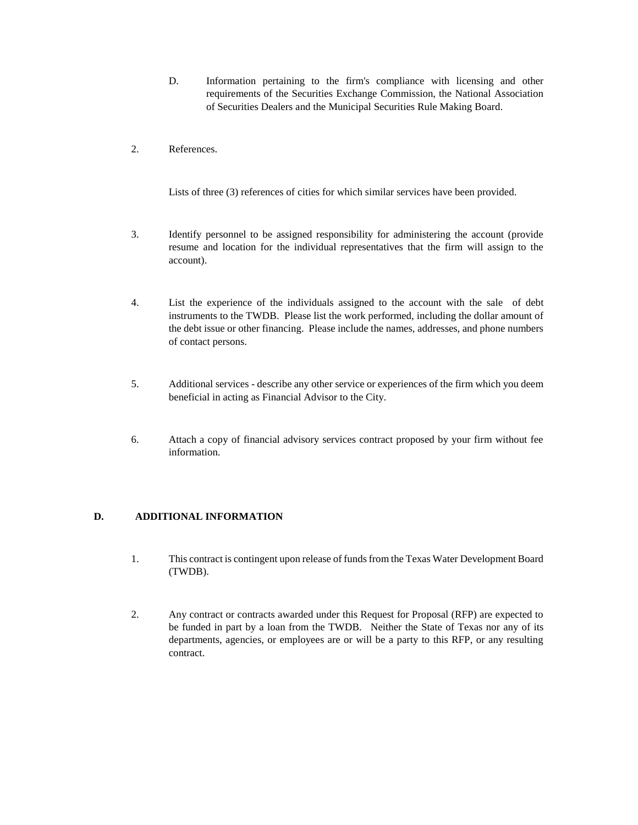- D. Information pertaining to the firm's compliance with licensing and other requirements of the Securities Exchange Commission, the National Association of Securities Dealers and the Municipal Securities Rule Making Board.
- 2. References.

Lists of three (3) references of cities for which similar services have been provided.

- 3. Identify personnel to be assigned responsibility for administering the account (provide resume and location for the individual representatives that the firm will assign to the account).
- 4. List the experience of the individuals assigned to the account with the sale of debt instruments to the TWDB. Please list the work performed, including the dollar amount of the debt issue or other financing. Please include the names, addresses, and phone numbers of contact persons.
- 5. Additional services describe any other service or experiences of the firm which you deem beneficial in acting as Financial Advisor to the City.
- 6. Attach a copy of financial advisory services contract proposed by your firm without fee information.

# **D. ADDITIONAL INFORMATION**

- 1. This contract is contingent upon release of funds from the Texas Water Development Board (TWDB).
- 2. Any contract or contracts awarded under this Request for Proposal (RFP) are expected to be funded in part by a loan from the TWDB. Neither the State of Texas nor any of its departments, agencies, or employees are or will be a party to this RFP, or any resulting contract.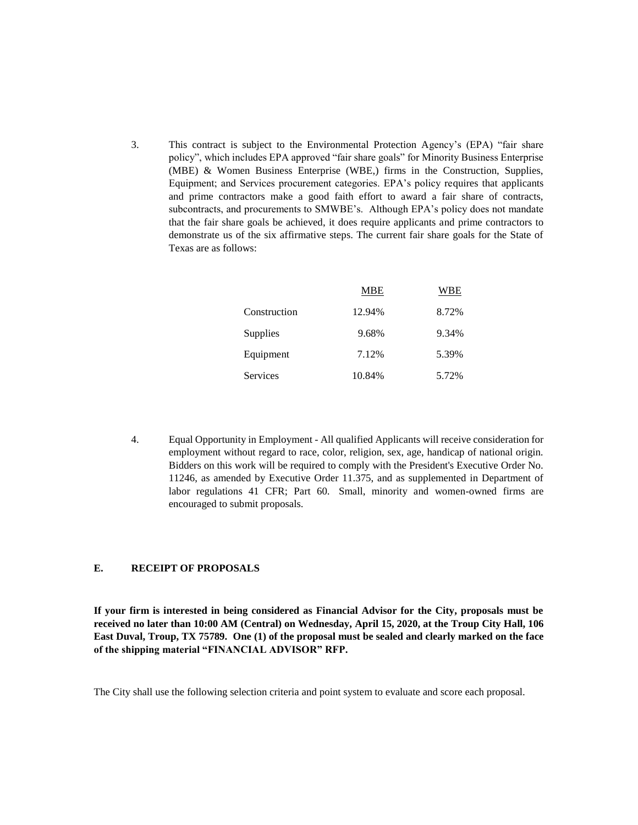3. This contract is subject to the Environmental Protection Agency's (EPA) "fair share policy", which includes EPA approved "fair share goals" for Minority Business Enterprise (MBE) & Women Business Enterprise (WBE,) firms in the Construction, Supplies, Equipment; and Services procurement categories. EPA's policy requires that applicants and prime contractors make a good faith effort to award a fair share of contracts, subcontracts, and procurements to SMWBE's. Although EPA's policy does not mandate that the fair share goals be achieved, it does require applicants and prime contractors to demonstrate us of the six affirmative steps. The current fair share goals for the State of Texas are as follows:

|              | <b>MBE</b> | WBE   |
|--------------|------------|-------|
| Construction | 12.94%     | 8.72% |
| Supplies     | 9.68%      | 9.34% |
| Equipment    | 7.12%      | 5.39% |
| Services     | 10.84%     | 5.72% |

4. Equal Opportunity in Employment - All qualified Applicants will receive consideration for employment without regard to race, color, religion, sex, age, handicap of national origin. Bidders on this work will be required to comply with the President's Executive Order No. 11246, as amended by Executive Order 11.375, and as supplemented in Department of labor regulations 41 CFR; Part 60. Small, minority and women-owned firms are encouraged to submit proposals.

# **E. RECEIPT OF PROPOSALS**

**If your firm is interested in being considered as Financial Advisor for the City, proposals must be received no later than 10:00 AM (Central) on Wednesday, April 15, 2020, at the Troup City Hall, 106 East Duval, Troup, TX 75789. One (1) of the proposal must be sealed and clearly marked on the face of the shipping material "FINANCIAL ADVISOR" RFP.**

The City shall use the following selection criteria and point system to evaluate and score each proposal.